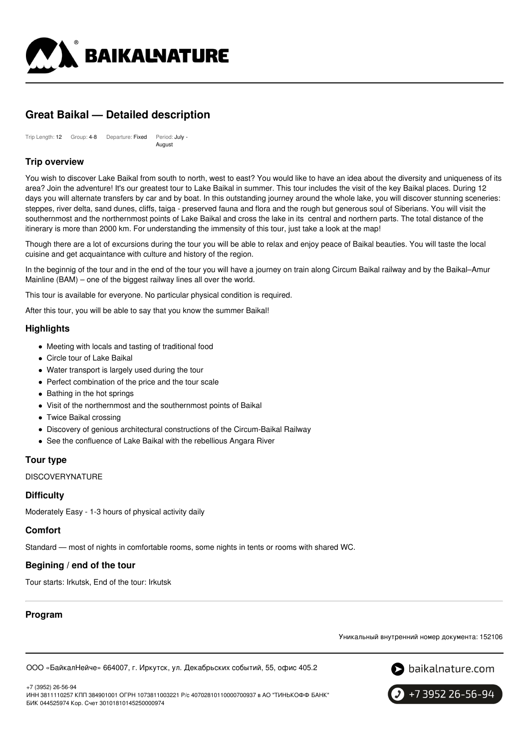

# **Great Baikal — Detailed description**

Trip Length: 12 Group: 4-8 Departure: Fixed Period: July August

# **Trip overview**

You wish to discover Lake Baikal from south to north, west to east? You would like to have an idea about the diversity and uniqueness of its area? Join the adventure! It's our greatest tour to Lake Baikal in summer. This tour includes the visit of the key Baikal places. During 12 days you will alternate transfers by car and by boat. In this outstanding journey around the whole lake, you will discover stunning sceneries: steppes, river delta, sand dunes, cliffs, taiga - preserved fauna and flora and the rough but generous soul of Siberians. You will visit the southernmost and the northernmost points of Lake Baikal and cross the lake in its central and northern parts. The total distance of the itinerary is more than 2000 km. For understanding the immensity of this tour, just take a look at the map!

Though there are a lot of excursions during the tour you will be able to relax and enjoy peace of Baikal beauties. You will taste the local cuisine and get acquaintance with culture and history of the region.

In the beginnig of the tour and in the end of the tour you will have a journey on train along Circum Baikal railway and by the Baikal–Amur Mainline (BAM) – one of the biggest railway lines all over the world.

This tour is available for everyone. No particular physical condition is required.

After this tour, you will be able to say that you know the summer Baikal!

# **Highlights**

- Meeting with locals and tasting of traditional food
- Circle tour of Lake Baikal
- Water transport is largely used during the tour
- Perfect combination of the price and the tour scale
- Bathing in the hot springs
- Visit of the northernmost and the southernmost points of Baikal
- Twice Baikal crossing
- Discovery of genious architectural constructions of the Circum-Baikal Railway
- See the confluence of Lake Baikal with the rebellious Angara River

# **Tour type**

**DISCOVERYNATURE** 

# **Difficulty**

Moderately Easy - 1-3 hours of physical activity daily

# **Comfort**

Standard — most of nights in comfortable rooms, some nights in tents or rooms with shared WC.

# **Begining / end of the tour**

Tour starts: Irkutsk, End of the tour: Irkutsk

# **Program**

Уникальный внутренний номер документа: 152106

ООО «БайкалНейче» 664007, г. Иркутск, ул. Декабрьских событий, 55, офис 405.2



ИНН 3811110257 КПП 384901001 ОГРН 1073811003221 Р/с 40702810110000700937 в АО "ТИНЬКОФФ БАНК" БИК 044525974 Кор. Счет 30101810145250000974



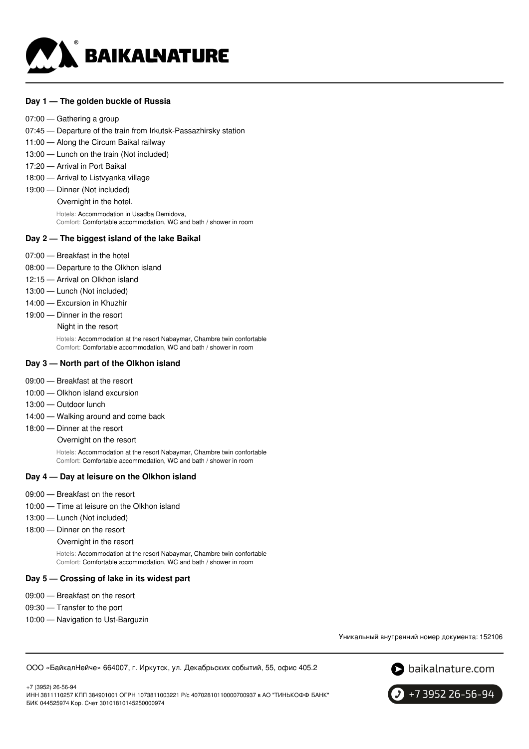

### **Day 1 — The golden buckle of Russia**

- 07:00 Gathering a group
- 07:45 Departure of the train from Irkutsk-Passazhirsky station
- 11:00 Along the Circum Baikal railway
- 13:00 Lunch on the train (Not included)
- 17:20 Arrival in Port Baikal
- 18:00 Arrival to Listvyanka village
- 19:00 Dinner (Not included)
	- Overnight in the hotel.

Hotels: Accommodation in Usadba Demidova, Comfort: Comfortable accommodation, WC and bath / shower in room

#### **Day 2 — The biggest island of the lake Baikal**

- 07:00 Breakfast in the hotel
- 08:00 Departure to the Olkhon island
- 12:15 Arrival on Olkhon island
- 13:00 Lunch (Not included)
- 14:00 Excursion in Khuzhir
- 19:00 Dinner in the resort

Night in the resort

Hotels: Accommodation at the resort Nabaymar, Chambre twin confortable Comfort: Comfortable accommodation, WC and bath / shower in room

### **Day 3 — North part of the Olkhon island**

- 09:00 Breakfast at the resort
- 10:00 Olkhon island excursion
- 13:00 Outdoor lunch
- 14:00 Walking around and come back
- 18:00 Dinner at the resort

Overnight on the resort

Hotels: Accommodation at the resort Nabaymar, Chambre twin confortable Comfort: Comfortable accommodation, WC and bath / shower in room

#### **Day 4 — Day at leisure on the Olkhon island**

- 09:00 Breakfast on the resort
- 10:00 Time at leisure on the Olkhon island
- 13:00 Lunch (Not included)
- 18:00 Dinner on the resort
	- Overnight in the resort

Hotels: Accommodation at the resort Nabaymar, Chambre twin confortable Comfort: Comfortable accommodation, WC and bath / shower in room

#### **Day 5 — Crossing of lake in its widest part**

- 09:00 Breakfast on the resort
- 09:30 Transfer to the port
- 10:00 Navigation to Ust-Barguzin

Уникальный внутренний номер документа: 152106

ООО «БайкалНейче» 664007, г. Иркутск, ул. Декабрьских событий, 55, офис 405.2



+7 (3952) 26-56-94 ИНН 3811110257 КПП 384901001 ОГРН 1073811003221 Р/с 40702810110000700937 в АО "ТИНЬКОФФ БАНК" БИК 044525974 Кор. Счет 30101810145250000974

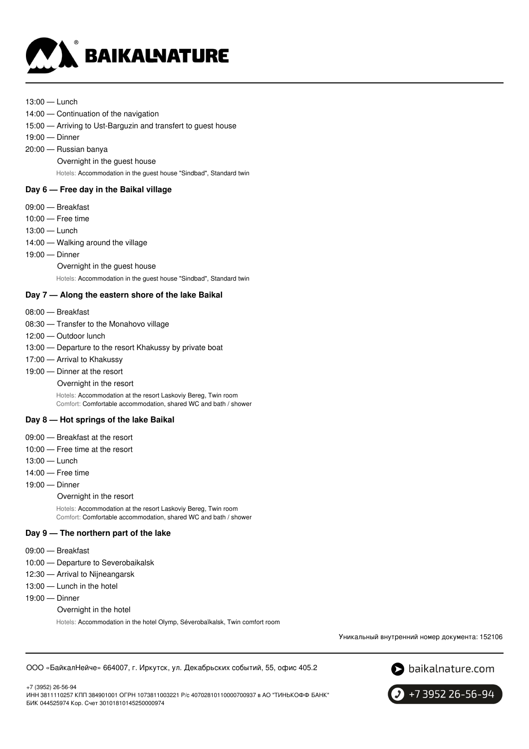

#### 13:00 — Lunch

- 14:00 Continuation of the navigation
- 15:00 Arriving to Ust-Barguzin and transfert to guest house
- 19:00 Dinner
- 20:00 Russian banya
	- Overnight in the guest house

Hotels: Accommodation in the guest house "Sindbad", Standard twin

# **Day 6 — Free day in the Baikal village**

- 09:00 Breakfast
- 10:00 Free time
- 13:00 Lunch
- 14:00 Walking around the village
- 19:00 Dinner
	- Overnight in the guest house

Hotels: Accommodation in the guest house "Sindbad", Standard twin

### **Day 7 — Along the eastern shore of the lake Baikal**

- 08:00 Breakfast
- 08:30 Transfer to the Monahovo village
- 12:00 Outdoor lunch
- 13:00 Departure to the resort Khakussy by private boat
- 17:00 Arrival to Khakussy
- 19:00 Dinner at the resort
	- Overnight in the resort

Hotels: Accommodation at the resort Laskoviy Bereg, Twin room Comfort: Comfortable accommodation, shared WC and bath / shower

#### **Day 8 — Hot springs of the lake Baikal**

- 09:00 Breakfast at the resort
- 10:00 Free time at the resort
- 13:00 Lunch
- 14:00 Free time
- 19:00 Dinner
	- Overnight in the resort
	- Hotels: Accommodation at the resort Laskoviy Bereg, Twin room Comfort: Comfortable accommodation, shared WC and bath / shower

### **Day 9 — The northern part of the lake**

- 09:00 Breakfast
- 10:00 Departure to Severobaikalsk
- 12:30 Arrival to Nijneangarsk
- 13:00 Lunch in the hotel
- 19:00 Dinner
	- Overnight in the hotel

Hotels: Accommodation in the hotel Olymp, Séverobaïkalsk, Twin comfort room

Уникальный внутренний номер документа: 152106

ООО «БайкалНейче» 664007, г. Иркутск, ул. Декабрьских событий, 55, офис 405.2

S baikalnature.com

+7 (3952) 26-56-94

ИНН 3811110257 КПП 384901001 ОГРН 1073811003221 Р/с 40702810110000700937 в АО "ТИНЬКОФФ БАНК" БИК 044525974 Кор. Счет 30101810145250000974

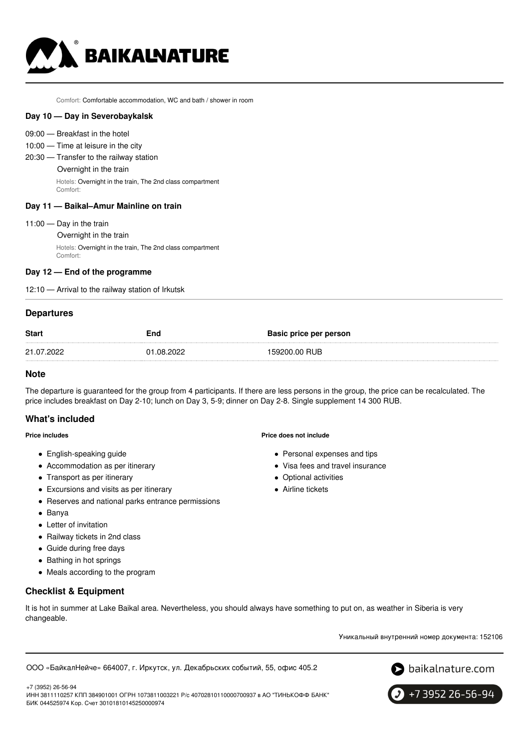

Comfort: Comfortable accommodation, WC and bath / shower in room

#### **Day 10 — Day in Severobaykalsk**

- 09:00 Breakfast in the hotel
- 10:00 Time at leisure in the city
- 20:30 Transfer to the railway station Overnight in the train Hotels: Overnight in the train, The 2nd class compartment Comfort:

#### **Day 11 — Baikal–Amur Mainline on train**

- 11:00 Day in the train
	- Overnight in the train

Hotels: Overnight in the train, The 2nd class compartment Comfort:

#### **Day 12 — End of the programme**

12:10 — Arrival to the railway station of Irkutsk

#### **Departures**

| <b>Start</b> | End        | Basic price per person |
|--------------|------------|------------------------|
| 21.07.2022   | 01.08.2022 | 159200.00 RUB          |

#### **Note**

The departure is guaranteed for the group from 4 participants. If there are less persons in the group, the price can be recalculated. The price includes breakfast on Day 2-10; lunch on Day 3, 5-9; dinner on Day 2-8. Single supplement 14 300 RUB.

#### **What's included**

#### **Price includes**

- English-speaking guide
- Accommodation as per itinerary
- Transport as per itinerary
- Excursions and visits as per itinerary
- Reserves and national parks entrance permissions
- Banya

+7 (3952) 26-56-94

- Letter of invitation
- Railway tickets in 2nd class
- Guide during free days
- Bathing in hot springs
- Meals according to the program

# **Checklist & Equipment**

It is hot in summer at Lake Baikal area. Nevertheless, you should always have something to put on, as weather in Siberia is very changeable.

Уникальный внутренний номер документа: 152106

ООО «БайкалНейче» 664007, г. Иркутск, ул. Декабрьских событий, 55, офис 405.2





ИНН 3811110257 КПП 384901001 ОГРН 1073811003221 Р/с 40702810110000700937 в АО "ТИНЬКОФФ БАНК" БИК 044525974 Кор. Счет 30101810145250000974

#### **Price does not include**

- Personal expenses and tips
- Visa fees and travel insurance
- Optional activities
- Airline tickets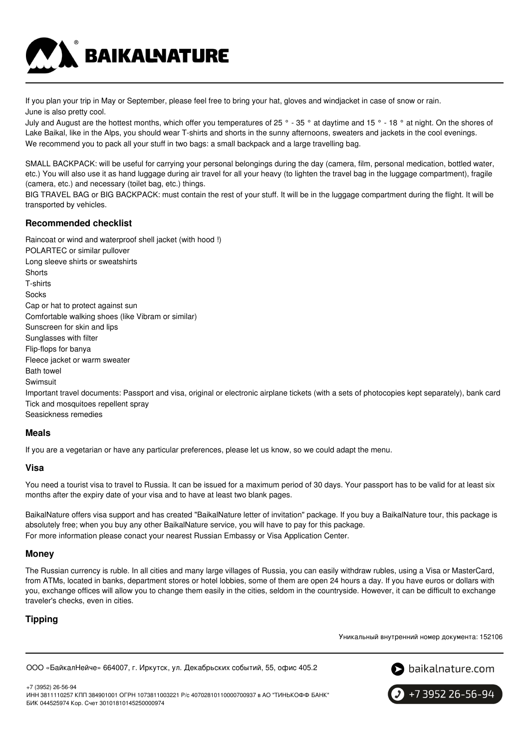

If you plan your trip in May or September, please feel free to bring your hat, gloves and windjacket in case of snow or rain. June is also pretty cool.

July and August are the hottest months, which offer you temperatures of 25 ° - 35 ° at daytime and 15 ° - 18 ° at night. On the shores of Lake Baikal, like in the Alps, you should wear T-shirts and shorts in the sunny afternoons, sweaters and jackets in the cool evenings. We recommend you to pack all your stuff in two bags: a small backpack and a large travelling bag.

SMALL BACKPACK: will be useful for carrying your personal belongings during the day (camera, film, personal medication, bottled water, etc.) You will also use it as hand luggage during air travel for all your heavy (to lighten the travel bag in the luggage compartment), fragile (camera, etc.) and necessary (toilet bag, etc.) things.

BIG TRAVEL BAG or BIG BACKPACK: must contain the rest of your stuff. It will be in the luggage compartment during the flight. It will be transported by vehicles.

# **Recommended checklist**

Raincoat or wind and waterproof shell jacket (with hood !)

POLARTEC or similar pullover Long sleeve shirts or sweatshirts **Shorts** T-shirts Socks Cap or hat to protect against sun Comfortable walking shoes (like Vibram or similar) Sunscreen for skin and lips Sunglasses with filter Flip-flops for banya Fleece jacket or warm sweater Bath towel Swimsuit Important travel documents: Passport and visa, original or electronic airplane tickets (with a sets of photocopies kept separately), bank card Tick and mosquitoes repellent spray Seasickness remedies

# **Meals**

If you are a vegetarian or have any particular preferences, please let us know, so we could adapt the menu.

# **Visa**

You need a tourist visa to travel to Russia. It can be issued for a maximum period of 30 days. Your passport has to be valid for at least six months after the expiry date of your visa and to have at least two blank pages.

BaikalNature offers visa support and has created "BaikalNature letter of invitation" package. If you buy a BaikalNature tour, this package is absolutely free; when you buy any other BaikalNature service, you will have to pay for this package. For more information please conact your nearest Russian Embassy or Visa Application Center.

# **Money**

The Russian currency is ruble. In all cities and many large villages of Russia, you can easily withdraw rubles, using a Visa or MasterCard, from ATMs, located in banks, department stores or hotel lobbies, some of them are open 24 hours a day. If you have euros or dollars with you, exchange offices will allow you to change them easily in the cities, seldom in the countryside. However, it can be difficult to exchange traveler's checks, even in cities.

# **Tipping**

Уникальный внутренний номер документа: 152106

```
ООО «БайкалНейче» 664007, г. Иркутск, ул. Декабрьских событий, 55, офис 405.2
```


+7 (3952) 26-56-94 ИНН 3811110257 КПП 384901001 ОГРН 1073811003221 Р/с 40702810110000700937 в АО "ТИНЬКОФФ БАНК" БИК 044525974 Кор. Счет 30101810145250000974